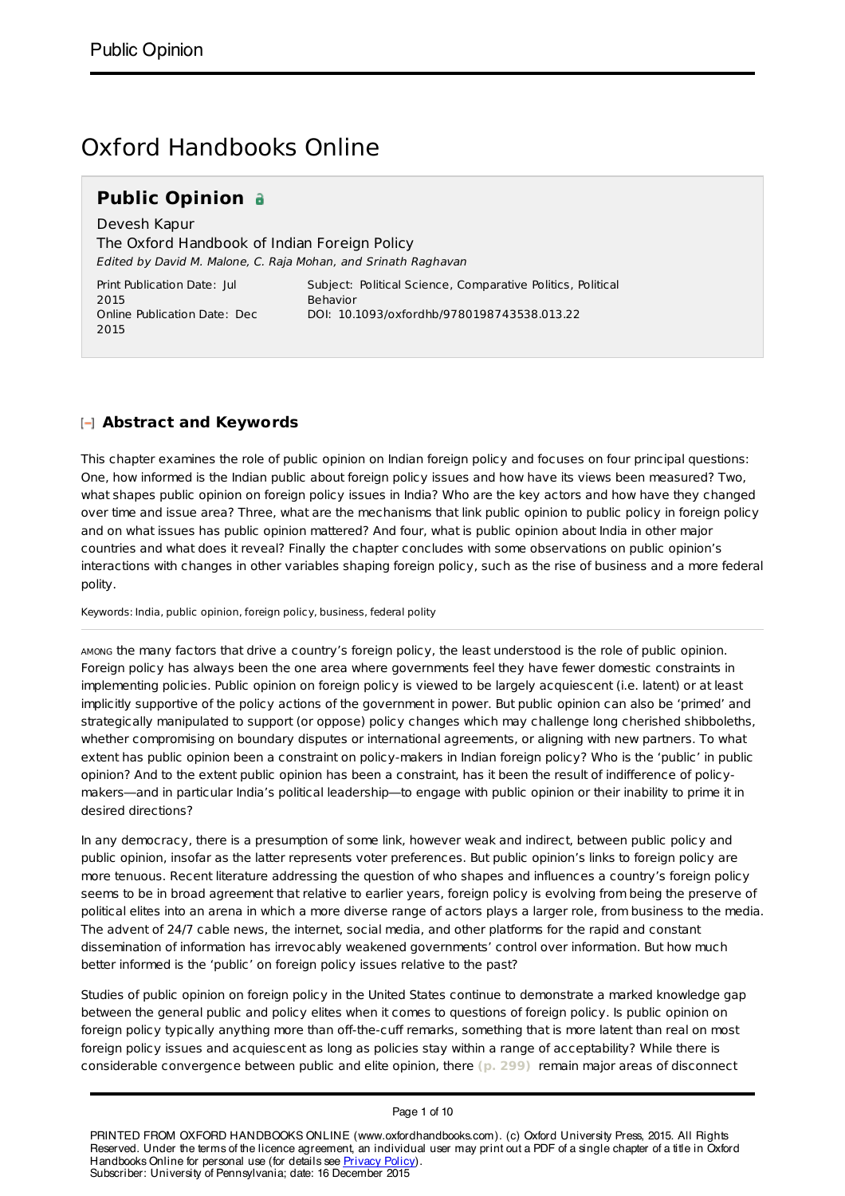# Oxford Handbooks Online

# **Public Opinion**

Devesh Kapur The Oxford Handbook of Indian Foreign Policy Edited by David M. Malone, C. Raja Mohan, and Srinath Raghavan

Print Publication Date: Jul 2015 Online Publication Date: Dec 2015

Subject: Political Science, Comparative Politics, Political Behavior DOI: 10.1093/oxfordhb/9780198743538.013.22

# **Abstract and Keywords**

This chapter examines the role of public opinion on Indian foreign policy and focuses on four principal questions: One, how informed is the Indian public about foreign policy issues and how have its views been measured? Two, what shapes public opinion on foreign policy issues in India? Who are the key actors and how have they changed over time and issue area? Three, what are the mechanisms that link public opinion to public policy in foreign policy and on what issues has public opinion mattered? And four, what is public opinion about India in other major countries and what does it reveal? Finally the chapter concludes with some observations on public opinion's interactions with changes in other variables shaping foreign policy, such as the rise of business and a more federal polity.

Keywords: India, public opinion, foreign policy, business, federal polity

AMONG the many factors that drive a country's foreign policy, the least understood is the role of public opinion. Foreign policy has always been the one area where governments feel they have fewer domestic constraints in implementing policies. Public opinion on foreign policy is viewed to be largely acquiescent (i.e. latent) or at least implicitly supportive of the policy actions of the government in power. But public opinion can also be 'primed' and strategically manipulated to support (or oppose) policy changes which may challenge long cherished shibboleths, whether compromising on boundary disputes or international agreements, or aligning with new partners. To what extent has public opinion been a constraint on policy-makers in Indian foreign policy? Who is the 'public' in public opinion? And to the extent public opinion has been a constraint, has it been the result of indifference of policymakers—and in particular India's political leadership—to engage with public opinion or their inability to prime it in desired directions?

In any democracy, there is a presumption of some link, however weak and indirect, between public policy and public opinion, insofar as the latter represents voter preferences. But public opinion's links to foreign policy are more tenuous. Recent literature addressing the question of who shapes and influences a country's foreign policy seems to be in broad agreement that relative to earlier years, foreign policy is evolving from being the preserve of political elites into an arena in which a more diverse range of actors plays a larger role, from business to the media. The advent of 24/7 cable news, the internet, social media, and other platforms for the rapid and constant dissemination of information has irrevocably weakened governments' control over information. But how much better informed is the 'public' on foreign policy issues relative to the past?

Studies of public opinion on foreign policy in the United States continue to demonstrate a marked knowledge gap between the general public and policy elites when it comes to questions of foreign policy. Is public opinion on foreign policy typically anything more than off-the-cuff remarks, something that is more latent than real on most foreign policy issues and acquiescent as long as policies stay within a range of acceptability? While there is considerable convergence between public and elite opinion, there **(p. 299)** remain major areas of disconnect

#### Page 1 of 10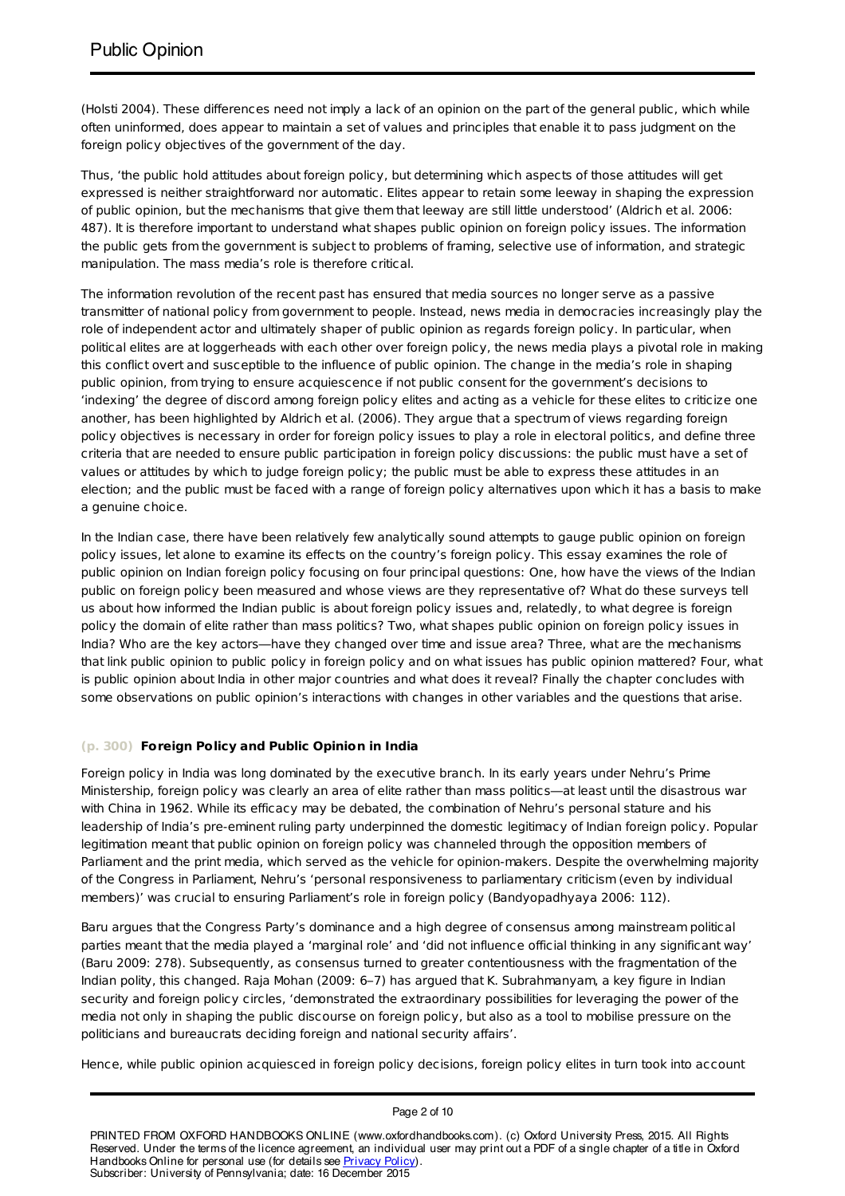(Holsti 2004). These differences need not imply a lack of an opinion on the part of the general public, which while often uninformed, does appear to maintain a set of values and principles that enable it to pass judgment on the foreign policy objectives of the government of the day.

Thus, 'the public hold attitudes about foreign policy, but determining which aspects of those attitudes will get expressed is neither straightforward nor automatic. Elites appear to retain some leeway in shaping the expression of public opinion, but the mechanisms that give them that leeway are still little understood' (Aldrich et al. 2006: 487). It is therefore important to understand what shapes public opinion on foreign policy issues. The information the public gets from the government is subject to problems of framing, selective use of information, and strategic manipulation. The mass media's role is therefore critical.

The information revolution of the recent past has ensured that media sources no longer serve as a passive transmitter of national policy from government to people. Instead, news media in democracies increasingly play the role of independent actor and ultimately shaper of public opinion as regards foreign policy. In particular, when political elites are at loggerheads with each other over foreign policy, the news media plays a pivotal role in making this conflict overt and susceptible to the influence of public opinion. The change in the media's role in shaping public opinion, from trying to ensure acquiescence if not public consent for the government's decisions to 'indexing' the degree of discord among foreign policy elites and acting as a vehicle for these elites to criticize one another, has been highlighted by Aldrich et al. (2006). They argue that a spectrum of views regarding foreign policy objectives is necessary in order for foreign policy issues to play a role in electoral politics, and define three criteria that are needed to ensure public participation in foreign policy discussions: the public must have a set of values or attitudes by which to judge foreign policy; the public must be able to express these attitudes in an election; and the public must be faced with a range of foreign policy alternatives upon which it has a basis to make a genuine choice.

In the Indian case, there have been relatively few analytically sound attempts to gauge public opinion on foreign policy issues, let alone to examine its effects on the country's foreign policy. This essay examines the role of public opinion on Indian foreign policy focusing on four principal questions: One, how have the views of the Indian public on foreign policy been measured and whose views are they representative of? What do these surveys tell us about how informed the Indian public is about foreign policy issues and, relatedly, to what degree is foreign policy the domain of elite rather than mass politics? Two, what shapes public opinion on foreign policy issues in India? Who are the key actors—have they changed over time and issue area? Three, what are the mechanisms that link public opinion to public policy in foreign policy and on what issues has public opinion mattered? Four, what is public opinion about India in other major countries and what does it reveal? Finally the chapter concludes with some observations on public opinion's interactions with changes in other variables and the questions that arise.

# **(p. 300) Foreign Policy and Public Opinion in India**

Foreign policy in India was long dominated by the executive branch. In its early years under Nehru's Prime Ministership, foreign policy was clearly an area of elite rather than mass politics—at least until the disastrous war with China in 1962. While its efficacy may be debated, the combination of Nehru's personal stature and his leadership of India's pre-eminent ruling party underpinned the domestic legitimacy of Indian foreign policy. Popular legitimation meant that public opinion on foreign policy was channeled through the opposition members of Parliament and the print media, which served as the vehicle for opinion-makers. Despite the overwhelming majority of the Congress in Parliament, Nehru's 'personal responsiveness to parliamentary criticism (even by individual members)' was crucial to ensuring Parliament's role in foreign policy (Bandyopadhyaya 2006: 112).

Baru argues that the Congress Party's dominance and a high degree of consensus among mainstream political parties meant that the media played a 'marginal role' and 'did not influence official thinking in any significant way' (Baru 2009: 278). Subsequently, as consensus turned to greater contentiousness with the fragmentation of the Indian polity, this changed. Raja Mohan (2009: 6–7) has argued that K. Subrahmanyam, a key figure in Indian security and foreign policy circles, 'demonstrated the extraordinary possibilities for leveraging the power of the media not only in shaping the public discourse on foreign policy, but also as a tool to mobilise pressure on the politicians and bureaucrats deciding foreign and national security affairs'.

Hence, while public opinion acquiesced in foreign policy decisions, foreign policy elites in turn took into account

PRINTED FROM OXFORD HANDBOOKS ONLINE (www.oxfordhandbooks.com). (c) Oxford University Press, 2015. All Rights Reserved. Under the terms of the licence agreement, an individual user may print out a PDF of a single chapter of a title in Oxford Handbooks Online for personal use (for details see **Privacy Policy**). Subscriber: University of Pennsylvania; date: 16 December 2015

#### Page 2 of 10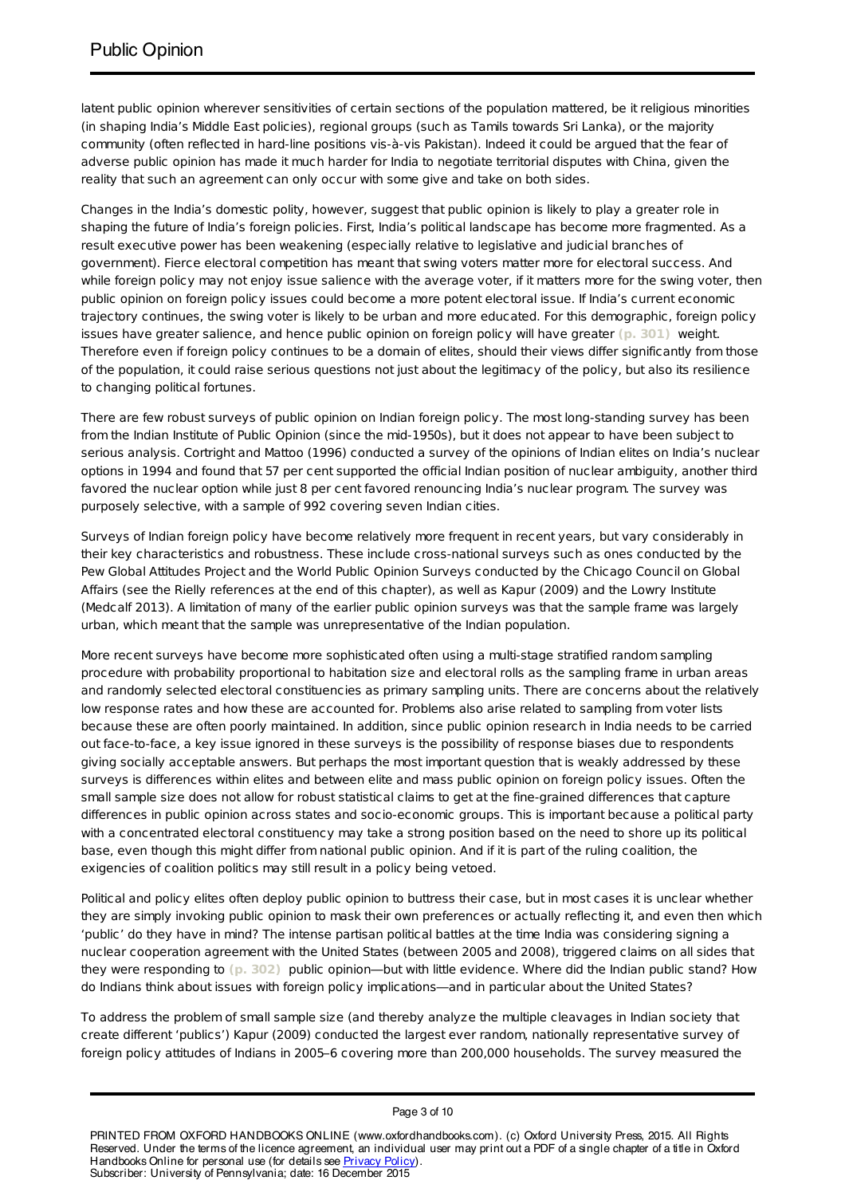latent public opinion wherever sensitivities of certain sections of the population mattered, be it religious minorities (in shaping India's Middle East policies), regional groups (such as Tamils towards Sri Lanka), or the majority community (often reflected in hard-line positions vis-à-vis Pakistan). Indeed it could be argued that the fear of adverse public opinion has made it much harder for India to negotiate territorial disputes with China, given the reality that such an agreement can only occur with some give and take on both sides.

Changes in the India's domestic polity, however, suggest that public opinion is likely to play a greater role in shaping the future of India's foreign policies. First, India's political landscape has become more fragmented. As a result executive power has been weakening (especially relative to legislative and judicial branches of government). Fierce electoral competition has meant that swing voters matter more for electoral success. And while foreign policy may not enjoy issue salience with the average voter, if it matters more for the swing voter, then public opinion on foreign policy issues could become a more potent electoral issue. If India's current economic trajectory continues, the swing voter is likely to be urban and more educated. For this demographic, foreign policy issues have greater salience, and hence public opinion on foreign policy will have greater **(p. 301)** weight. Therefore even if foreign policy continues to be a domain of elites, should their views differ significantly from those of the population, it could raise serious questions not just about the legitimacy of the policy, but also its resilience to changing political fortunes.

There are few robust surveys of public opinion on Indian foreign policy. The most long-standing survey has been from the Indian Institute of Public Opinion (since the mid-1950s), but it does not appear to have been subject to serious analysis. Cortright and Mattoo (1996) conducted a survey of the opinions of Indian elites on India's nuclear options in 1994 and found that 57 per cent supported the official Indian position of nuclear ambiguity, another third favored the nuclear option while just 8 per cent favored renouncing India's nuclear program. The survey was purposely selective, with a sample of 992 covering seven Indian cities.

Surveys of Indian foreign policy have become relatively more frequent in recent years, but vary considerably in their key characteristics and robustness. These include cross-national surveys such as ones conducted by the Pew Global Attitudes Project and the World Public Opinion Surveys conducted by the Chicago Council on Global Affairs (see the Rielly references at the end of this chapter), as well as Kapur (2009) and the Lowry Institute (Medcalf 2013). A limitation of many of the earlier public opinion surveys was that the sample frame was largely urban, which meant that the sample was unrepresentative of the Indian population.

More recent surveys have become more sophisticated often using a multi-stage stratified random sampling procedure with probability proportional to habitation size and electoral rolls as the sampling frame in urban areas and randomly selected electoral constituencies as primary sampling units. There are concerns about the relatively low response rates and how these are accounted for. Problems also arise related to sampling from voter lists because these are often poorly maintained. In addition, since public opinion research in India needs to be carried out face-to-face, a key issue ignored in these surveys is the possibility of response biases due to respondents giving socially acceptable answers. But perhaps the most important question that is weakly addressed by these surveys is differences within elites and between elite and mass public opinion on foreign policy issues. Often the small sample size does not allow for robust statistical claims to get at the fine-grained differences that capture differences in public opinion across states and socio-economic groups. This is important because a political party with a concentrated electoral constituency may take a strong position based on the need to shore up its political base, even though this might differ from national public opinion. And if it is part of the ruling coalition, the exigencies of coalition politics may still result in a policy being vetoed.

Political and policy elites often deploy public opinion to buttress their case, but in most cases it is unclear whether they are simply invoking public opinion to mask their own preferences or actually reflecting it, and even then which 'public' do they have in mind? The intense partisan political battles at the time India was considering signing a nuclear cooperation agreement with the United States (between 2005 and 2008), triggered claims on all sides that they were responding to **(p. 302)** public opinion—but with little evidence. Where did the Indian public stand? How do Indians think about issues with foreign policy implications—and in particular about the United States?

To address the problem of small sample size (and thereby analyze the multiple cleavages in Indian society that create different 'publics') Kapur (2009) conducted the largest ever random, nationally representative survey of foreign policy attitudes of Indians in 2005–6 covering more than 200,000 households. The survey measured the

#### Page 3 of 10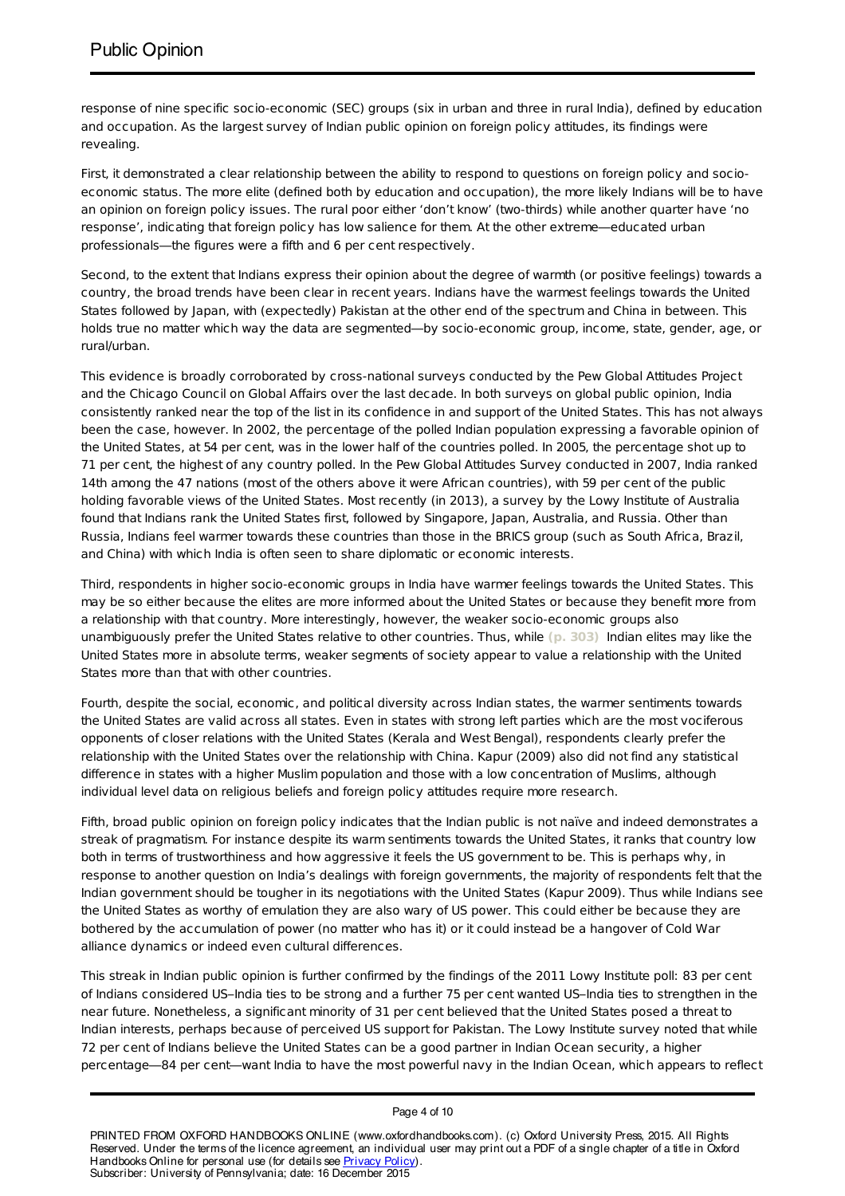response of nine specific socio-economic (SEC) groups (six in urban and three in rural India), defined by education and occupation. As the largest survey of Indian public opinion on foreign policy attitudes, its findings were revealing.

First, it demonstrated a clear relationship between the ability to respond to questions on foreign policy and socioeconomic status. The more elite (defined both by education and occupation), the more likely Indians will be to have an opinion on foreign policy issues. The rural poor either 'don't know' (two-thirds) while another quarter have 'no response', indicating that foreign policy has low salience for them. At the other extreme—educated urban professionals—the figures were a fifth and 6 per cent respectively.

Second, to the extent that Indians express their opinion about the degree of warmth (or positive feelings) towards a country, the broad trends have been clear in recent years. Indians have the warmest feelings towards the United States followed by Japan, with (expectedly) Pakistan at the other end of the spectrum and China in between. This holds true no matter which way the data are segmented—by socio-economic group, income, state, gender, age, or rural/urban.

This evidence is broadly corroborated by cross-national surveys conducted by the Pew Global Attitudes Project and the Chicago Council on Global Affairs over the last decade. In both surveys on global public opinion, India consistently ranked near the top of the list in its confidence in and support of the United States. This has not always been the case, however. In 2002, the percentage of the polled Indian population expressing a favorable opinion of the United States, at 54 per cent, was in the lower half of the countries polled. In 2005, the percentage shot up to 71 per cent, the highest of any country polled. In the Pew Global Attitudes Survey conducted in 2007, India ranked 14th among the 47 nations (most of the others above it were African countries), with 59 per cent of the public holding favorable views of the United States. Most recently (in 2013), a survey by the Lowy Institute of Australia found that Indians rank the United States first, followed by Singapore, Japan, Australia, and Russia. Other than Russia, Indians feel warmer towards these countries than those in the BRICS group (such as South Africa, Brazil, and China) with which India is often seen to share diplomatic or economic interests.

Third, respondents in higher socio-economic groups in India have warmer feelings towards the United States. This may be so either because the elites are more informed about the United States or because they benefit more from a relationship with that country. More interestingly, however, the weaker socio-economic groups also unambiguously prefer the United States relative to other countries. Thus, while **(p. 303)** Indian elites may like the United States more in absolute terms, weaker segments of society appear to value a relationship with the United States more than that with other countries.

Fourth, despite the social, economic, and political diversity across Indian states, the warmer sentiments towards the United States are valid across all states. Even in states with strong left parties which are the most vociferous opponents of closer relations with the United States (Kerala and West Bengal), respondents clearly prefer the relationship with the United States over the relationship with China. Kapur (2009) also did not find any statistical difference in states with a higher Muslim population and those with a low concentration of Muslims, although individual level data on religious beliefs and foreign policy attitudes require more research.

Fifth, broad public opinion on foreign policy indicates that the Indian public is not naïve and indeed demonstrates a streak of pragmatism. For instance despite its warm sentiments towards the United States, it ranks that country low both in terms of trustworthiness and how aggressive it feels the US government to be. This is perhaps why, in response to another question on India's dealings with foreign governments, the majority of respondents felt that the Indian government should be tougher in its negotiations with the United States (Kapur 2009). Thus while Indians see the United States as worthy of emulation they are also wary of US power. This could either be because they are bothered by the accumulation of power (no matter who has it) or it could instead be a hangover of Cold War alliance dynamics or indeed even cultural differences.

This streak in Indian public opinion is further confirmed by the findings of the 2011 Lowy Institute poll: 83 per cent of Indians considered US–India ties to be strong and a further 75 per cent wanted US–India ties to strengthen in the near future. Nonetheless, a significant minority of 31 per cent believed that the United States posed a threat to Indian interests, perhaps because of perceived US support for Pakistan. The Lowy Institute survey noted that while 72 per cent of Indians believe the United States can be a good partner in Indian Ocean security, a higher percentage—84 per cent—want India to have the most powerful navy in the Indian Ocean, which appears to reflect

#### Page 4 of 10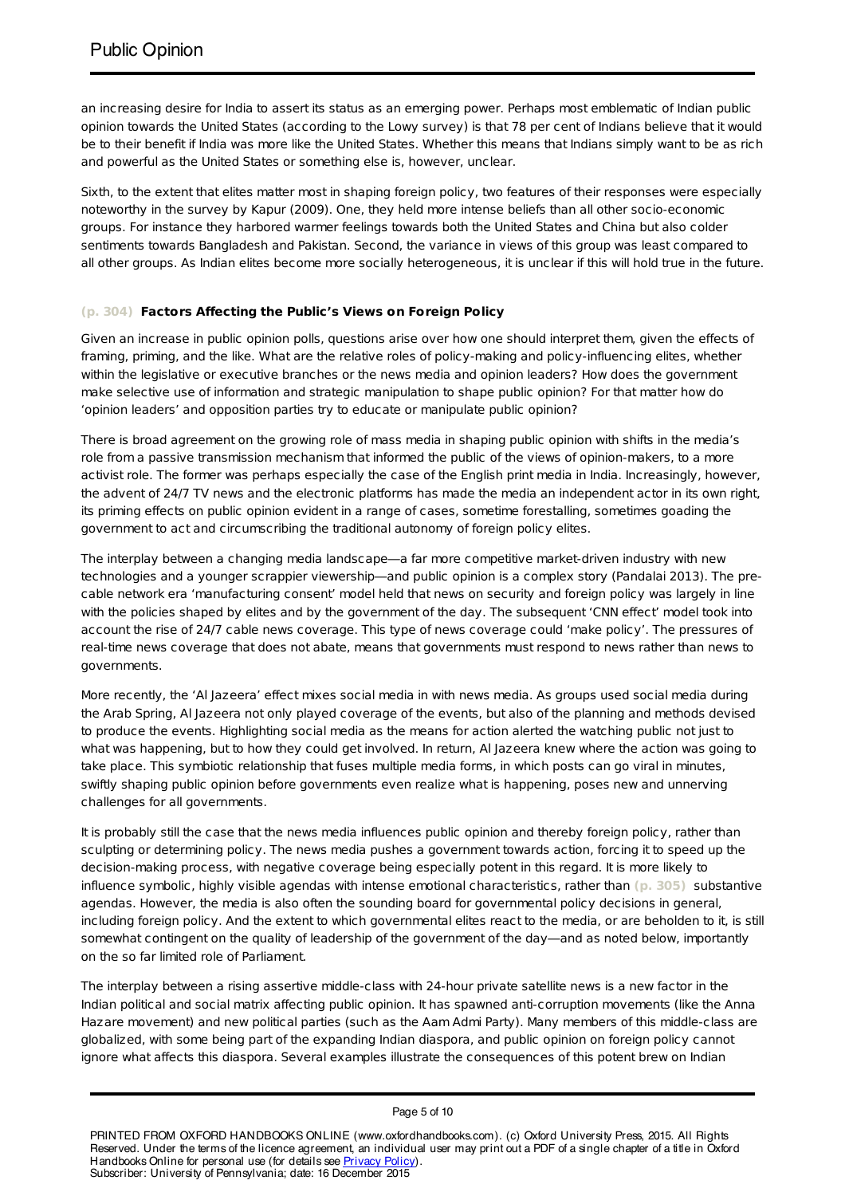an increasing desire for India to assert its status as an emerging power. Perhaps most emblematic of Indian public opinion towards the United States (according to the Lowy survey) is that 78 per cent of Indians believe that it would be to their benefit if India was more like the United States. Whether this means that Indians simply want to be as rich and powerful as the United States or something else is, however, unclear.

Sixth, to the extent that elites matter most in shaping foreign policy, two features of their responses were especially noteworthy in the survey by Kapur (2009). One, they held more intense beliefs than all other socio-economic groups. For instance they harbored warmer feelings towards both the United States and China but also colder sentiments towards Bangladesh and Pakistan. Second, the variance in views of this group was least compared to all other groups. As Indian elites become more socially heterogeneous, it is unclear if this will hold true in the future.

# **(p. 304) Factors Affecting the Public's Views on Foreign Policy**

Given an increase in public opinion polls, questions arise over how one should interpret them, given the effects of framing, priming, and the like. What are the relative roles of policy-making and policy-influencing elites, whether within the legislative or executive branches or the news media and opinion leaders? How does the government make selective use of information and strategic manipulation to shape public opinion? For that matter how do 'opinion leaders' and opposition parties try to educate or manipulate public opinion?

There is broad agreement on the growing role of mass media in shaping public opinion with shifts in the media's role from a passive transmission mechanism that informed the public of the views of opinion-makers, to a more activist role. The former was perhaps especially the case of the English print media in India. Increasingly, however, the advent of 24/7 TV news and the electronic platforms has made the media an independent actor in its own right, its priming effects on public opinion evident in a range of cases, sometime forestalling, sometimes goading the government to act and circumscribing the traditional autonomy of foreign policy elites.

The interplay between a changing media landscape—a far more competitive market-driven industry with new technologies and a younger scrappier viewership—and public opinion is a complex story (Pandalai 2013). The precable network era 'manufacturing consent' model held that news on security and foreign policy was largely in line with the policies shaped by elites and by the government of the day. The subsequent 'CNN effect' model took into account the rise of 24/7 cable news coverage. This type of news coverage could 'make policy'. The pressures of real-time news coverage that does not abate, means that governments must respond to news rather than news to governments.

More recently, the 'Al Jazeera' effect mixes social media in with news media. As groups used social media during the Arab Spring, Al Jazeera not only played coverage of the events, but also of the planning and methods devised to produce the events. Highlighting social media as the means for action alerted the watching public not just to what was happening, but to how they could get involved. In return, Al Jazeera knew where the action was going to take place. This symbiotic relationship that fuses multiple media forms, in which posts can go viral in minutes, swiftly shaping public opinion before governments even realize what is happening, poses new and unnerving challenges for all governments.

It is probably still the case that the news media influences public opinion and thereby foreign policy, rather than sculpting or determining policy. The news media pushes a government towards action, forcing it to speed up the decision-making process, with negative coverage being especially potent in this regard. It is more likely to influence symbolic, highly visible agendas with intense emotional characteristics, rather than **(p. 305)** substantive agendas. However, the media is also often the sounding board for governmental policy decisions in general, including foreign policy. And the extent to which governmental elites react to the media, or are beholden to it, is still somewhat contingent on the quality of leadership of the government of the day—and as noted below, importantly on the so far limited role of Parliament.

The interplay between a rising assertive middle-class with 24-hour private satellite news is a new factor in the Indian political and social matrix affecting public opinion. It has spawned anti-corruption movements (like the Anna Hazare movement) and new political parties (such as the Aam Admi Party). Many members of this middle-class are globalized, with some being part of the expanding Indian diaspora, and public opinion on foreign policy cannot ignore what affects this diaspora. Several examples illustrate the consequences of this potent brew on Indian

#### Page 5 of 10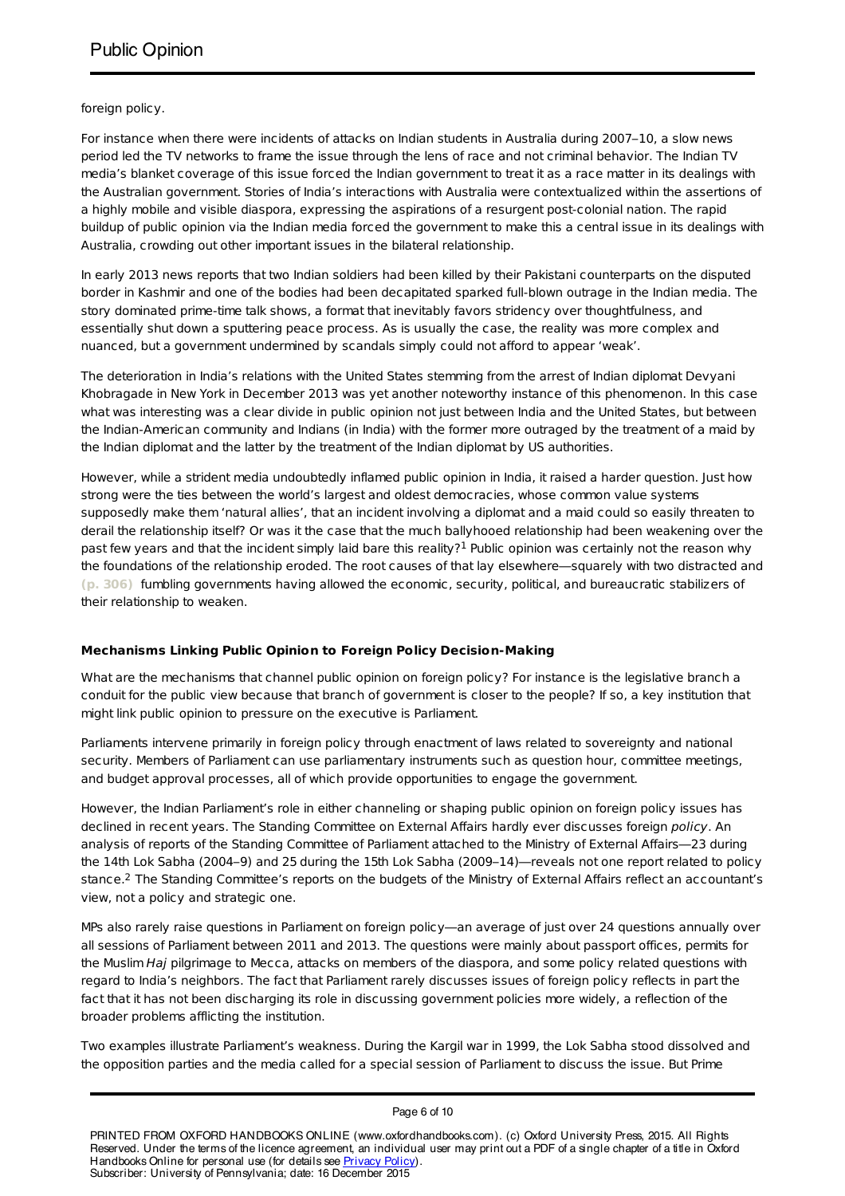# foreign policy.

For instance when there were incidents of attacks on Indian students in Australia during 2007–10, a slow news period led the TV networks to frame the issue through the lens of race and not criminal behavior. The Indian TV media's blanket coverage of this issue forced the Indian government to treat it as a race matter in its dealings with the Australian government. Stories of India's interactions with Australia were contextualized within the assertions of a highly mobile and visible diaspora, expressing the aspirations of a resurgent post-colonial nation. The rapid buildup of public opinion via the Indian media forced the government to make this a central issue in its dealings with Australia, crowding out other important issues in the bilateral relationship.

In early 2013 news reports that two Indian soldiers had been killed by their Pakistani counterparts on the disputed border in Kashmir and one of the bodies had been decapitated sparked full-blown outrage in the Indian media. The story dominated prime-time talk shows, a format that inevitably favors stridency over thoughtfulness, and essentially shut down a sputtering peace process. As is usually the case, the reality was more complex and nuanced, but a government undermined by scandals simply could not afford to appear 'weak'.

The deterioration in India's relations with the United States stemming from the arrest of Indian diplomat Devyani Khobragade in New York in December 2013 was yet another noteworthy instance of this phenomenon. In this case what was interesting was a clear divide in public opinion not just between India and the United States, but between the Indian-American community and Indians (in India) with the former more outraged by the treatment of a maid by the Indian diplomat and the latter by the treatment of the Indian diplomat by US authorities.

However, while a strident media undoubtedly inflamed public opinion in India, it raised a harder question. Just how strong were the ties between the world's largest and oldest democracies, whose common value systems supposedly make them 'natural allies', that an incident involving a diplomat and a maid could so easily threaten to derail the relationship itself? Or was it the case that the much ballyhooed relationship had been weakening over the past few years and that the incident simply laid bare this reality?<sup>1</sup> Public opinion was certainly not the reason why the foundations of the relationship eroded. The root causes of that lay elsewhere—squarely with two distracted and **(p. 306)** fumbling governments having allowed the economic, security, political, and bureaucratic stabilizers of their relationship to weaken.

# **Mechanisms Linking Public Opinion to Foreign Policy Decision-Making**

What are the mechanisms that channel public opinion on foreign policy? For instance is the legislative branch a conduit for the public view because that branch of government is closer to the people? If so, a key institution that might link public opinion to pressure on the executive is Parliament.

Parliaments intervene primarily in foreign policy through enactment of laws related to sovereignty and national security. Members of Parliament can use parliamentary instruments such as question hour, committee meetings, and budget approval processes, all of which provide opportunities to engage the government.

However, the Indian Parliament's role in either channeling or shaping public opinion on foreign policy issues has declined in recent years. The Standing Committee on External Affairs hardly ever discusses foreign policy. An analysis of reports of the Standing Committee of Parliament attached to the Ministry of External Affairs—23 during the 14th Lok Sabha (2004–9) and 25 during the 15th Lok Sabha (2009–14)—reveals not one report related to policy stance. $^2$  The Standing Committee's reports on the budgets of the Ministry of External Affairs reflect an accountant's view, not a policy and strategic one.

MPs also rarely raise questions in Parliament on foreign policy—an average of just over 24 questions annually over all sessions of Parliament between 2011 and 2013. The questions were mainly about passport offices, permits for the Muslim Haj pilgrimage to Mecca, attacks on members of the diaspora, and some policy related questions with regard to India's neighbors. The fact that Parliament rarely discusses issues of foreign policy reflects in part the fact that it has not been discharging its role in discussing government policies more widely, a reflection of the broader problems afflicting the institution.

Two examples illustrate Parliament's weakness. During the Kargil war in 1999, the Lok Sabha stood dissolved and the opposition parties and the media called for a special session of Parliament to discuss the issue. But Prime

PRINTED FROM OXFORD HANDBOOKS ONLINE (www.oxfordhandbooks.com). (c) Oxford University Press, 2015. All Rights Reserved. Under the terms of the licence agreement, an individual user may print out a PDF of a single chapter of a title in Oxford Handbooks Online for personal use (for details see **Privacy Policy**). Subscriber: University of Pennsylvania; date: 16 December 2015

#### Page 6 of 10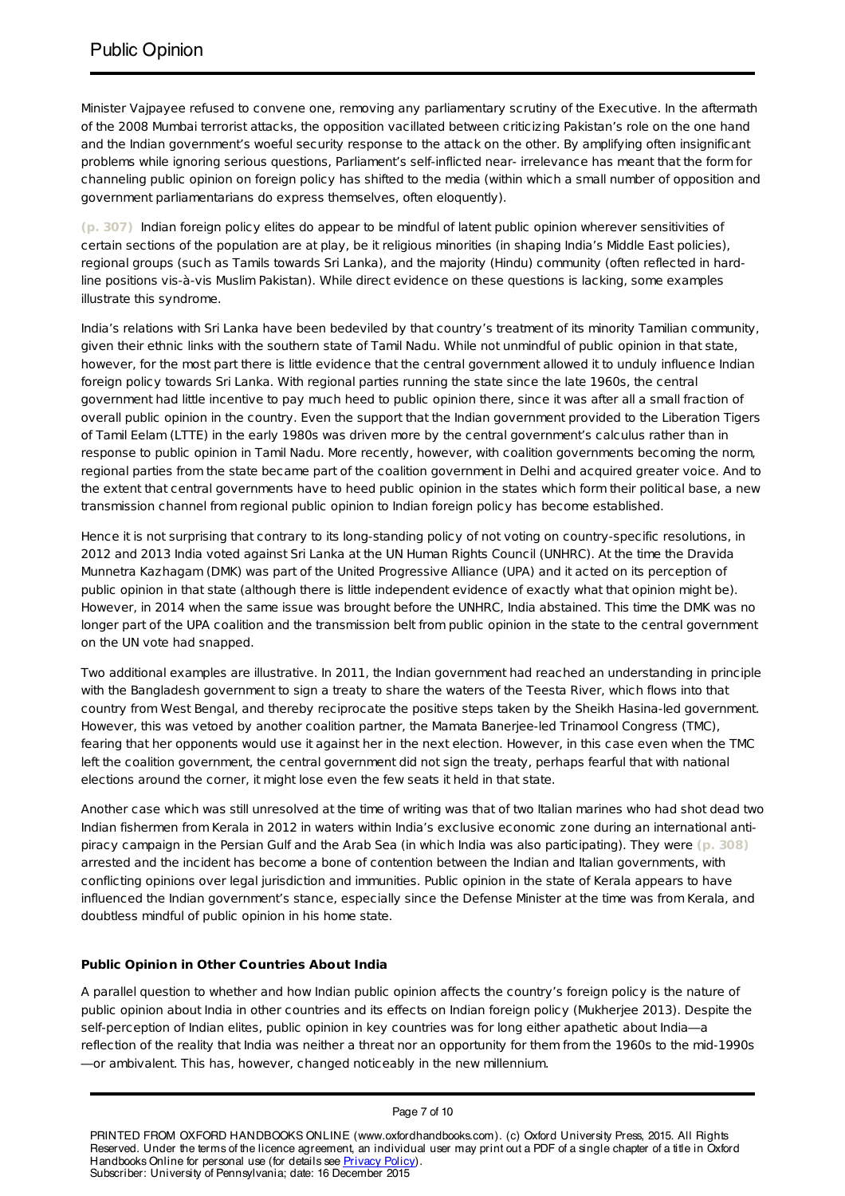Minister Vajpayee refused to convene one, removing any parliamentary scrutiny of the Executive. In the aftermath of the 2008 Mumbai terrorist attacks, the opposition vacillated between criticizing Pakistan's role on the one hand and the Indian government's woeful security response to the attack on the other. By amplifying often insignificant problems while ignoring serious questions, Parliament's self-inflicted near- irrelevance has meant that the form for channeling public opinion on foreign policy has shifted to the media (within which a small number of opposition and government parliamentarians do express themselves, often eloquently).

**(p. 307)** Indian foreign policy elites do appear to be mindful of latent public opinion wherever sensitivities of certain sections of the population are at play, be it religious minorities (in shaping India's Middle East policies), regional groups (such as Tamils towards Sri Lanka), and the majority (Hindu) community (often reflected in hardline positions vis-à-vis Muslim Pakistan). While direct evidence on these questions is lacking, some examples illustrate this syndrome.

India's relations with Sri Lanka have been bedeviled by that country's treatment of its minority Tamilian community, given their ethnic links with the southern state of Tamil Nadu. While not unmindful of public opinion in that state, however, for the most part there is little evidence that the central government allowed it to unduly influence Indian foreign policy towards Sri Lanka. With regional parties running the state since the late 1960s, the central government had little incentive to pay much heed to public opinion there, since it was after all a small fraction of overall public opinion in the country. Even the support that the Indian government provided to the Liberation Tigers of Tamil Eelam (LTTE) in the early 1980s was driven more by the central government's calculus rather than in response to public opinion in Tamil Nadu. More recently, however, with coalition governments becoming the norm, regional parties from the state became part of the coalition government in Delhi and acquired greater voice. And to the extent that central governments have to heed public opinion in the states which form their political base, a new transmission channel from regional public opinion to Indian foreign policy has become established.

Hence it is not surprising that contrary to its long-standing policy of not voting on country-specific resolutions, in 2012 and 2013 India voted against Sri Lanka at the UN Human Rights Council (UNHRC). At the time the Dravida Munnetra Kazhagam (DMK) was part of the United Progressive Alliance (UPA) and it acted on its perception of public opinion in that state (although there is little independent evidence of exactly what that opinion might be). However, in 2014 when the same issue was brought before the UNHRC, India abstained. This time the DMK was no longer part of the UPA coalition and the transmission belt from public opinion in the state to the central government on the UN vote had snapped.

Two additional examples are illustrative. In 2011, the Indian government had reached an understanding in principle with the Bangladesh government to sign a treaty to share the waters of the Teesta River, which flows into that country from West Bengal, and thereby reciprocate the positive steps taken by the Sheikh Hasina-led government. However, this was vetoed by another coalition partner, the Mamata Banerjee-led Trinamool Congress (TMC), fearing that her opponents would use it against her in the next election. However, in this case even when the TMC left the coalition government, the central government did not sign the treaty, perhaps fearful that with national elections around the corner, it might lose even the few seats it held in that state.

Another case which was still unresolved at the time of writing was that of two Italian marines who had shot dead two Indian fishermen from Kerala in 2012 in waters within India's exclusive economic zone during an international antipiracy campaign in the Persian Gulf and the Arab Sea (in which India was also participating). They were **(p. 308)** arrested and the incident has become a bone of contention between the Indian and Italian governments, with conflicting opinions over legal jurisdiction and immunities. Public opinion in the state of Kerala appears to have influenced the Indian government's stance, especially since the Defense Minister at the time was from Kerala, and doubtless mindful of public opinion in his home state.

### **Public Opinion in Other Countries About India**

A parallel question to whether and how Indian public opinion affects the country's foreign policy is the nature of public opinion about India in other countries and its effects on Indian foreign policy (Mukherjee 2013). Despite the self-perception of Indian elites, public opinion in key countries was for long either apathetic about India—a reflection of the reality that India was neither a threat nor an opportunity for them from the 1960s to the mid-1990s —or ambivalent. This has, however, changed noticeably in the new millennium.

Page 7 of 10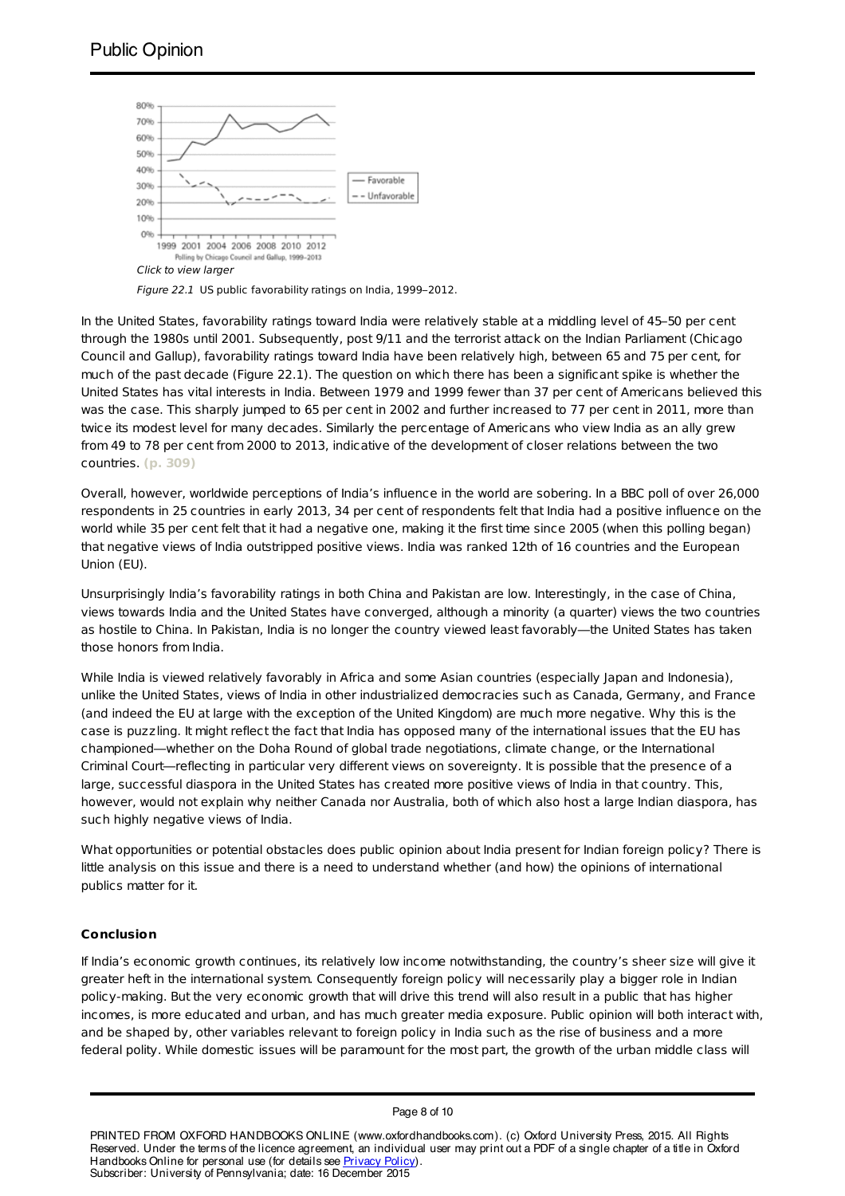

Figure 22.1 US public favorability ratings on India, 1999–2012.

In the United States, favorability ratings toward India were relatively stable at a middling level of 45–50 per cent through the 1980s until 2001. Subsequently, post 9/11 and the terrorist attack on the Indian Parliament (Chicago Council and Gallup), favorability ratings toward India have been relatively high, between 65 and 75 per cent, for much of the past decade (Figure 22.1). The question on which there has been a significant spike is whether the United States has vital interests in India. Between 1979 and 1999 fewer than 37 per cent of Americans believed this was the case. This sharply jumped to 65 per cent in 2002 and further increased to 77 per cent in 2011, more than twice its modest level for many decades. Similarly the percentage of Americans who view India as an ally grew from 49 to 78 per cent from 2000 to 2013, indicative of the development of closer relations between the two countries. **(p. 309)**

Overall, however, worldwide perceptions of India's influence in the world are sobering. In a BBC poll of over 26,000 respondents in 25 countries in early 2013, 34 per cent of respondents felt that India had a positive influence on the world while 35 per cent felt that it had a negative one, making it the first time since 2005 (when this polling began) that negative views of India outstripped positive views. India was ranked 12th of 16 countries and the European Union (EU).

Unsurprisingly India's favorability ratings in both China and Pakistan are low. Interestingly, in the case of China, views towards India and the United States have converged, although a minority (a quarter) views the two countries as hostile to China. In Pakistan, India is no longer the country viewed least favorably—the United States has taken those honors from India.

While India is viewed relatively favorably in Africa and some Asian countries (especially Japan and Indonesia), unlike the United States, views of India in other industrialized democracies such as Canada, Germany, and France (and indeed the EU at large with the exception of the United Kingdom) are much more negative. Why this is the case is puzzling. It might reflect the fact that India has opposed many of the international issues that the EU has championed—whether on the Doha Round of global trade negotiations, climate change, or the International Criminal Court—reflecting in particular very different views on sovereignty. It is possible that the presence of a large, successful diaspora in the United States has created more positive views of India in that country. This, however, would not explain why neither Canada nor Australia, both of which also host a large Indian diaspora, has such highly negative views of India.

What opportunities or potential obstacles does public opinion about India present for Indian foreign policy? There is little analysis on this issue and there is a need to understand whether (and how) the opinions of international publics matter for it.

### **Conclusion**

If India's economic growth continues, its relatively low income notwithstanding, the country's sheer size will give it greater heft in the international system. Consequently foreign policy will necessarily play a bigger role in Indian policy-making. But the very economic growth that will drive this trend will also result in a public that has higher incomes, is more educated and urban, and has much greater media exposure. Public opinion will both interact with, and be shaped by, other variables relevant to foreign policy in India such as the rise of business and a more federal polity. While domestic issues will be paramount for the most part, the growth of the urban middle class will

Page 8 of 10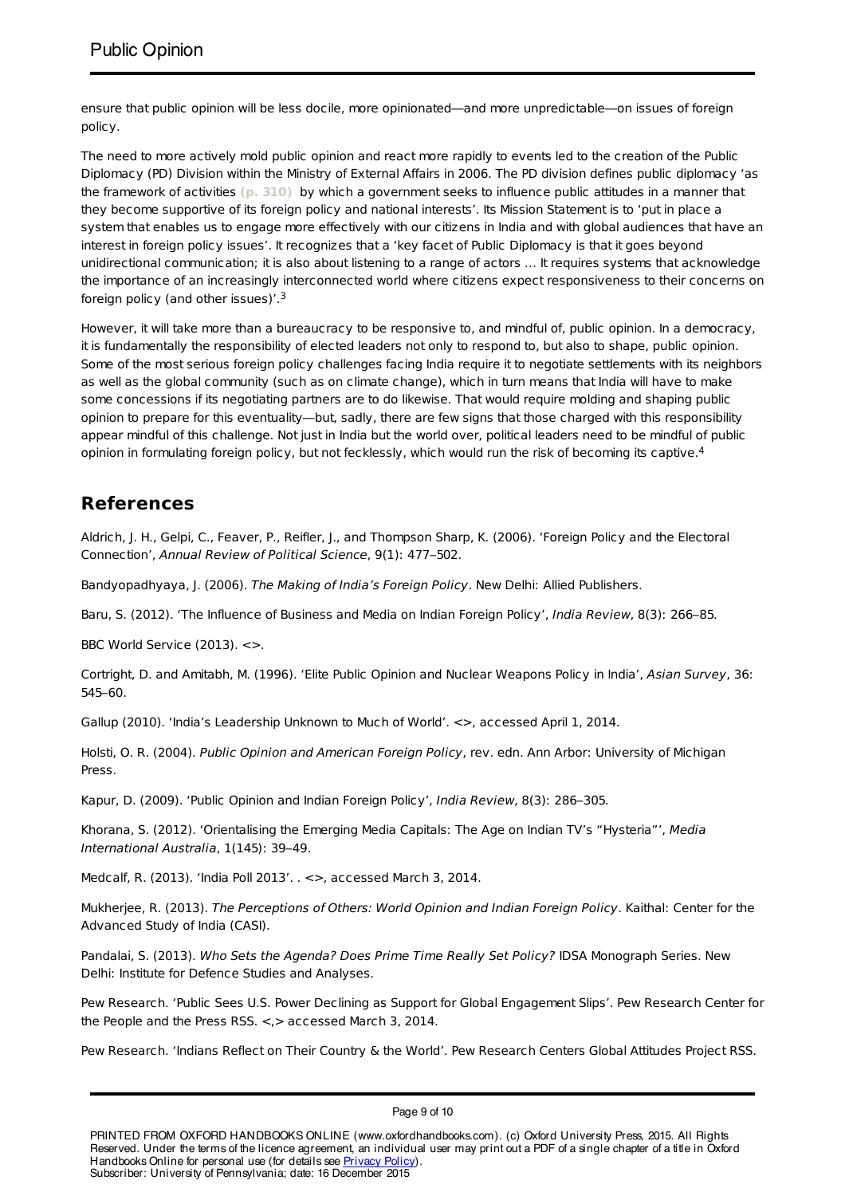ensure that public opinion will be less docile, more opinionated—and more unpredictable—on issues of foreign policy.

The need to more actively mold public opinion and react more rapidly to events led to the creation of the Public Diplomacy (PD) Division within the Ministry of External Affairs in 2006. The PD division defines public diplomacy 'as the framework of activities **(p. 310)** by which a government seeks to influence public attitudes in a manner that they become supportive of its foreign policy and national interests'. Its Mission Statement is to 'put in place a system that enables us to engage more effectively with our citizens in India and with global audiences that have an interest in foreign policy issues'. It recognizes that a 'key facet of Public Diplomacy is that it goes beyond unidirectional communication; it is also about listening to a range of actors … It requires systems that acknowledge the importance of an increasingly interconnected world where citizens expect responsiveness to their concerns on foreign policy (and other issues)'.<sup>3</sup>

However, it will take more than a bureaucracy to be responsive to, and mindful of, public opinion. In a democracy, it is fundamentally the responsibility of elected leaders not only to respond to, but also to shape, public opinion. Some of the most serious foreign policy challenges facing India require it to negotiate settlements with its neighbors as well as the global community (such as on climate change), which in turn means that India will have to make some concessions if its negotiating partners are to do likewise. That would require molding and shaping public opinion to prepare for this eventuality—but, sadly, there are few signs that those charged with this responsibility appear mindful of this challenge. Not just in India but the world over, political leaders need to be mindful of public opinion in formulating foreign policy, but not fecklessly, which would run the risk of becoming its captive.<sup>4</sup>

# **References**

Aldrich, J. H., Gelpi, C., Feaver, P., Reifler, J., and Thompson Sharp, K. (2006). 'Foreign Policy and the Electoral Connection', Annual Review of Political Science, 9(1): 477–502.

Bandyopadhyaya, I. (2006). The Making of India's Foreign Policy. New Delhi: Allied Publishers.

Baru, S. (2012). 'The Influence of Business and Media on Indian Foreign Policy', India Review, 8(3): 266-85.

BBC World Service (2013). <>.

Cortright, D. and Amitabh, M. (1996). 'Elite Public Opinion and Nuclear Weapons Policy in India', Asian Survey, 36: 545–60.

Gallup (2010). 'India's Leadership Unknown to Much of World'. <>, accessed April 1, 2014.

Holsti, O. R. (2004). Public Opinion and American Foreign Policy, rev. edn. Ann Arbor: University of Michigan Press.

Kapur, D. (2009). 'Public Opinion and Indian Foreign Policy', India Review, 8(3): 286–305.

Khorana, S. (2012). 'Orientalising the Emerging Media Capitals: The Age on Indian TV's "Hysteria"', Media International Australia, 1(145): 39–49.

Medcalf, R. (2013). 'India Poll 2013'. . <>, accessed March 3, 2014.

Mukherjee, R. (2013). The Perceptions of Others: World Opinion and Indian Foreign Policy. Kaithal: Center for the Advanced Study of India (CASI).

Pandalai, S. (2013). Who Sets the Agenda? Does Prime Time Really Set Policy? IDSA Monograph Series. New Delhi: Institute for Defence Studies and Analyses.

Pew Research. 'Public Sees U.S. Power Declining as Support for Global Engagement Slips'. Pew Research Center for the People and the Press RSS. <,> accessed March 3, 2014.

Pew Research. 'Indians Reflect on Their Country & the World'. Pew Research Centers Global Attitudes Project RSS.

Page 9 of 10